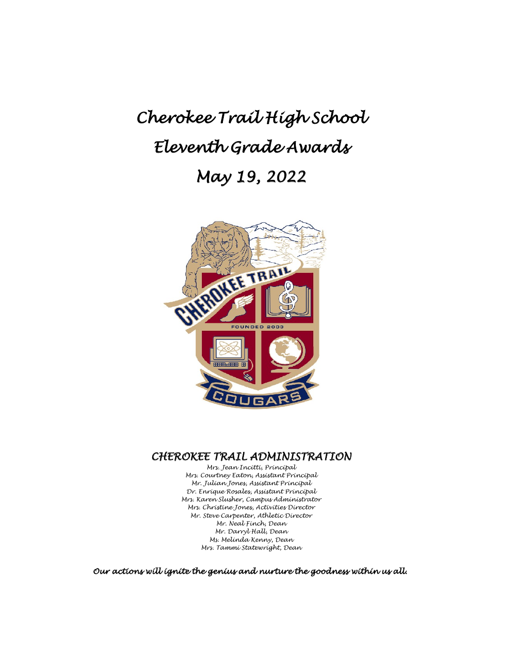# *Cherokee Trail High School Eleventh Grade Awards May 19, 2022*



# *CHEROKEE TRAIL ADMINISTRATION Mrs. Jean Incitti, Principal*

*Mrs. Courtney Eaton, Assistant Principal Mr. Julian Jones, Assistant Principal Dr. Enrique Rosales, Assistant Principal Mrs. Karen Slusher, Campus Administrator Mrs. Christine Jones, Activities Director Mr. Steve Carpenter, Athletic Director Mr. Neal Finch, Dean Mr. Darryl Hall, Dean Ms. Melinda Kenny, Dean Mrs. Tammi Statewright, Dean*

*Our actions will ignite the genius and nurture the goodness within us all.*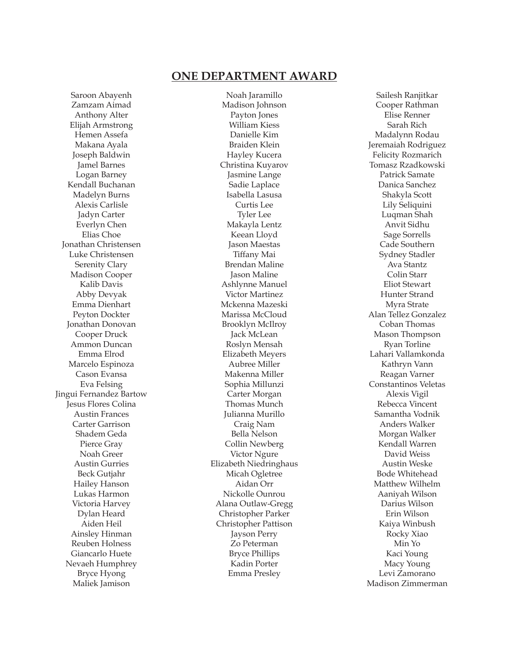# **ONE DEPARTMENT AWARD**

Saroon Abayenh Zamzam Aimad Anthony Alter Elijah Armstrong Hemen Assefa Makana Ayala Joseph Baldwin Jamel Barnes Logan Barney Kendall Buchanan Madelyn Burns Alexis Carlisle Jadyn Carter Everlyn Chen Elias Choe Jonathan Christensen Luke Christensen Serenity Clary Madison Cooper Kalib Davis Abby Devyak Emma Dienhart Peyton Dockter Jonathan Donovan Cooper Druck Ammon Duncan Emma Elrod Marcelo Espinoza Cason Evansa Eva Felsing Jingui Fernandez Bartow Jesus Flores Colina Austin Frances Carter Garrison Shadem Geda Pierce Gray Noah Greer Austin Gurries Beck Gutjahr Hailey Hanson Lukas Harmon Victoria Harvey Dylan Heard Aiden Heil Ainsley Hinman Reuben Holness Giancarlo Huete Nevaeh Humphrey Bryce Hyong Maliek Jamison

Noah Jaramillo Madison Johnson Payton Jones William Kiess Danielle Kim Braiden Klein Hayley Kucera Christina Kuyarov Jasmine Lange Sadie Laplace Isabella Lasusa Curtis Lee Tyler Lee Makayla Lentz Keean Lloyd Jason Maestas Tiffany Mai Brendan Maline Jason Maline Ashlynne Manuel Victor Martinez Mckenna Mazeski Marissa McCloud Brooklyn McIlroy Jack McLean Roslyn Mensah Elizabeth Meyers Aubree Miller Makenna Miller Sophia Millunzi Carter Morgan Thomas Munch Julianna Murillo Craig Nam Bella Nelson Collin Newberg Victor Ngure Elizabeth Niedringhaus Micah Ogletree Aidan Orr Nickolle Ounrou Alana Outlaw-Gregg Christopher Parker Christopher Pattison Jayson Perry Zo Peterman Bryce Phillips Kadin Porter Emma Presley

Sailesh Ranjitkar Cooper Rathman Elise Renner Sarah Rich Madalynn Rodau Jeremaiah Rodriguez Felicity Rozmarich Tomasz Rzadkowski Patrick Samate Danica Sanchez Shakyla Scott Lily Seliquini Luqman Shah Anvit Sidhu Sage Sorrells Cade Southern Sydney Stadler Ava Stantz Colin Starr Eliot Stewart Hunter Strand Myra Strate Alan Tellez Gonzalez Coban Thomas Mason Thompson Ryan Torline Lahari Vallamkonda Kathryn Vann Reagan Varner Constantinos Veletas Alexis Vigil Rebecca Vincent Samantha Vodnik Anders Walker Morgan Walker Kendall Warren David Weiss Austin Weske Bode Whitehead Matthew Wilhelm Aaniyah Wilson Darius Wilson Erin Wilson Kaiya Winbush Rocky Xiao Min Yo Kaci Young Macy Young Levi Zamorano Madison Zimmerman